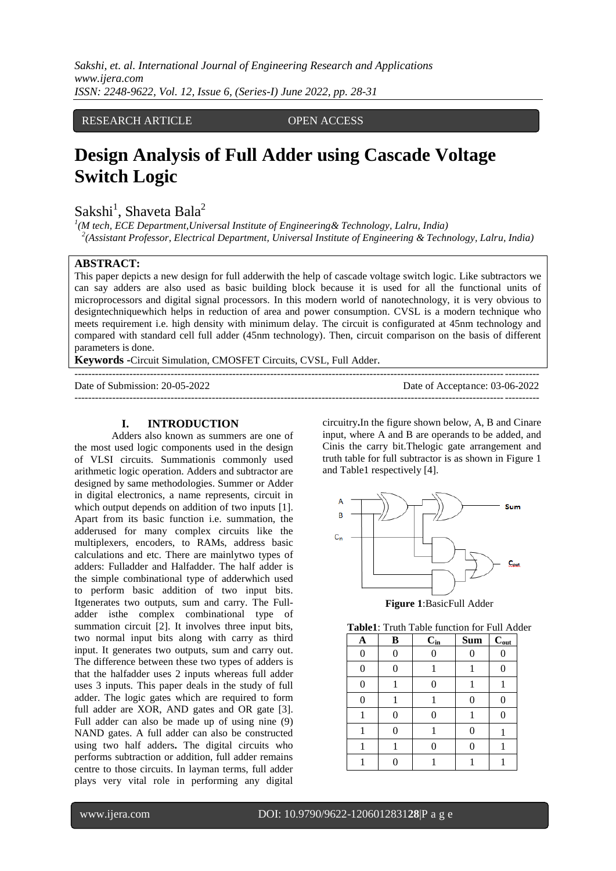*Sakshi, et. al. International Journal of Engineering Research and Applications www.ijera.com ISSN: 2248-9622, Vol. 12, Issue 6, (Series-I) June 2022, pp. 28-31*

## RESEARCH ARTICLE OPEN ACCESS

# **Design Analysis of Full Adder using Cascade Voltage Switch Logic**

 $Sakshi<sup>1</sup>$ , Shaveta Bala<sup>2</sup>

*1 (M tech, ECE Department,Universal Institute of Engineering& Technology, Lalru, India) 2 (Assistant Professor*, *Electrical Department, Universal Institute of Engineering & Technology, Lalru, India)*

#### **ABSTRACT:**

This paper depicts a new design for full adderwith the help of cascade voltage switch logic. Like subtractors we can say adders are also used as basic building block because it is used for all the functional units of microprocessors and digital signal processors. In this modern world of nanotechnology, it is very obvious to designtechniquewhich helps in reduction of area and power consumption. CVSL is a modern technique who meets requirement i.e. high density with minimum delay. The circuit is configurated at 45nm technology and compared with standard cell full adder (45nm technology). Then, circuit comparison on the basis of different parameters is done.

---------------------------------------------------------------------------------------------------------------------------------------

---------------------------------------------------------------------------------------------------------------------------------------

**Keywords -**Circuit Simulation, CMOSFET Circuits, CVSL, Full Adder.

Date of Submission: 20-05-2022 Date of Acceptance: 03-06-2022

**I. INTRODUCTION**

Adders also known as summers are one of the most used logic components used in the design of VLSI circuits. Summationis commonly used arithmetic logic operation. Adders and subtractor are designed by same methodologies. Summer or Adder in digital electronics, a name represents, circuit in which output depends on addition of two inputs [1]. Apart from its basic function i.e. summation, the adderused for many complex circuits like the multiplexers, encoders, to RAMs, address basic calculations and etc. There are mainlytwo types of adders: Fulladder and Halfadder. The half adder is the simple combinational type of adderwhich used to perform basic addition of two input bits. Itgenerates two outputs, sum and carry. The Fulladder isthe complex combinational type of summation circuit [2]. It involves three input bits, two normal input bits along with carry as third input. It generates two outputs, sum and carry out. The difference between these two types of adders is that the halfadder uses 2 inputs whereas full adder uses 3 inputs. This paper deals in the study of full adder. The logic gates which are required to form full adder are XOR, AND gates and OR gate [3]. Full adder can also be made up of using nine (9) NAND gates. A full adder can also be constructed using two half adders**.** The digital circuits who performs subtraction or addition, full adder remains centre to those circuits. In layman terms, full adder plays very vital role in performing any digital

circuitry**.**In the figure shown below, A, B and Cinare input, where A and B are operands to be added, and Cinis the carry bit.Thelogic gate arrangement and truth table for full subtractor is as shown in Figure 1 and Table1 respectively [4].



**Figure 1**:BasicFull Adder

| <b>Table1:</b> Truth Table function for Full Adder |
|----------------------------------------------------|
|----------------------------------------------------|

| A        | $\, {\bf B}$   | $C_{in}$       | <b>Sum</b> | $C_{\underline{out}}$ |
|----------|----------------|----------------|------------|-----------------------|
| 0        | $\overline{0}$ | $\overline{0}$ |            | 0                     |
| 0        | 0              |                |            | 0                     |
| $\theta$ |                | $\Omega$       |            |                       |
| $\Omega$ |                |                | 0          | 0                     |
|          |                | 0              |            | 0                     |
|          | 0              |                |            |                       |
|          |                | $\overline{0}$ | 0          |                       |
|          |                |                |            |                       |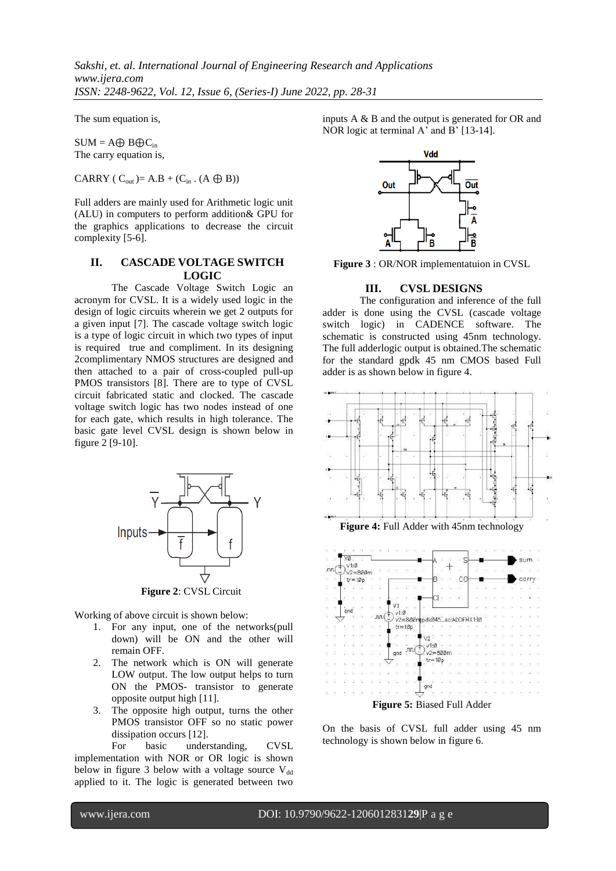*Sakshi, et. al. International Journal of Engineering Research and Applications www.ijera.com ISSN: 2248-9622, Vol. 12, Issue 6, (Series-I) June 2022, pp. 28-31*

The sum equation is,

 $SUM = A \oplus B \oplus C_{in}$ The carry equation is,

CARRY ( $C_{out}$ )= A.B + ( $C_{in}$ . (A  $\bigoplus$  B))

Full adders are mainly used for Arithmetic logic unit (ALU) in computers to perform addition& GPU for the graphics applications to decrease the circuit complexity [5-6].

#### **II. CASCADE VOLTAGE SWITCH LOGIC**

The Cascade Voltage Switch Logic an acronym for CVSL. It is a widely used logic in the design of logic circuits wherein we get 2 outputs for a given input [7]. The cascade voltage switch logic is a type of logic circuit in which two types of input is required true and compliment. In its designing 2complimentary NMOS structures are designed and then attached to a pair of cross-coupled pull-up PMOS transistors [8]. There are to type of CVSL circuit fabricated static and clocked. The cascade voltage switch logic has two nodes instead of one for each gate, which results in high tolerance. The basic gate level CVSL design is shown below in figure 2 [9-10].



Working of above circuit is shown below:

- 1. For any input, one of the networks(pull down) will be ON and the other will remain OFF.
- 2. The network which is ON will generate LOW output. The low output helps to turn ON the PMOS- transistor to generate opposite output high [11].
- 3. The opposite high output, turns the other PMOS transistor OFF so no static power dissipation occurs [12].

For basic understanding, CVSL implementation with NOR or OR logic is shown below in figure 3 below with a voltage source  $V_{dd}$ applied to it. The logic is generated between two

inputs A & B and the output is generated for OR and NOR logic at terminal A' and B' [13-14].



**Figure 3** : OR/NOR implementatuion in CVSL

## **III. CVSL DESIGNS**

The configuration and inference of the full adder is done using the CVSL (cascade voltage switch logic) in CADENCE software. The schematic is constructed using 45nm technology. The full adderlogic output is obtained.The schematic for the standard gpdk 45 nm CMOS based Full adder is as shown below in figure 4.



On the basis of CVSL full adder using 45 nm technology is shown below in figure 6.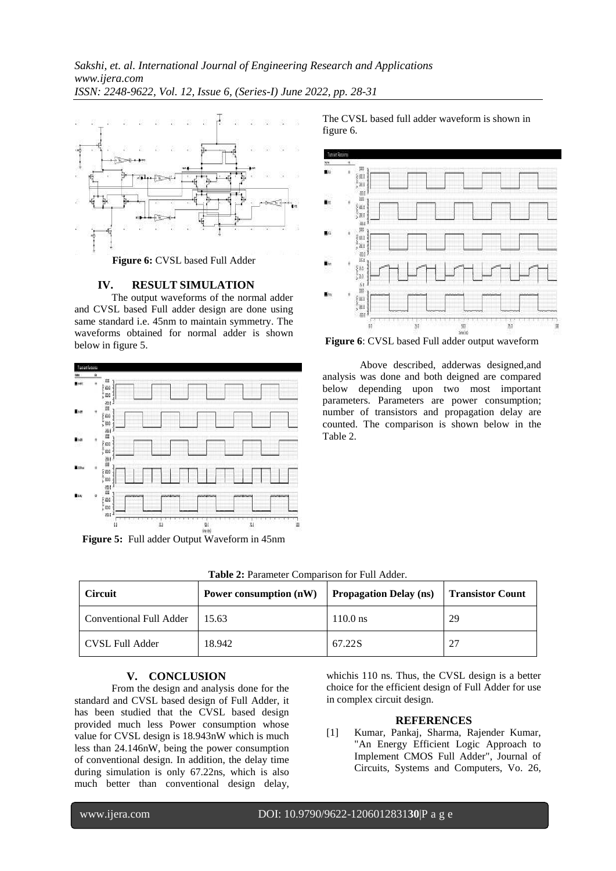

#### **IV. RESULT SIMULATION**

The output waveforms of the normal adder and CVSL based Full adder design are done using same standard i.e. 45nm to maintain symmetry. The waveforms obtained for normal adder is shown below in figure 5.



**Figure 5:** Full adder Output Waveform in 45nm

The CVSL based full adder waveform is shown in figure 6.



**Figure 6**: CVSL based Full adder output waveform

Above described, adderwas designed,and analysis was done and both deigned are compared below depending upon two most important parameters. Parameters are power consumption; number of transistors and propagation delay are counted. The comparison is shown below in the Table 2.

| <b>Circuit</b>                  | Power consumption $(nW)$ Propagation Delay (ns) Transistor Count |            |    |  |
|---------------------------------|------------------------------------------------------------------|------------|----|--|
| Conventional Full Adder   15.63 |                                                                  | $110.0$ ns | 29 |  |

CVSL Full Adder 18.942 67.22S 27

**Table 2:** Parameter Comparison for Full Adder.

| V. | <b>CONCLUSION</b> |
|----|-------------------|
|    |                   |

From the design and analysis done for the standard and CVSL based design of Full Adder, it has been studied that the CVSL based design provided much less Power consumption whose value for CVSL design is 18.943nW which is much less than 24.146nW, being the power consumption of conventional design. In addition, the delay time during simulation is only 67.22ns, which is also much better than conventional design delay,

whichis 110 ns. Thus, the CVSL design is a better choice for the efficient design of Full Adder for use in complex circuit design.

#### **REFERENCES**

[1] Kumar, Pankaj, Sharma, Rajender Kumar, "An Energy Efficient Logic Approach to Implement CMOS Full Adder", Journal of Circuits, Systems and Computers, Vo. 26,